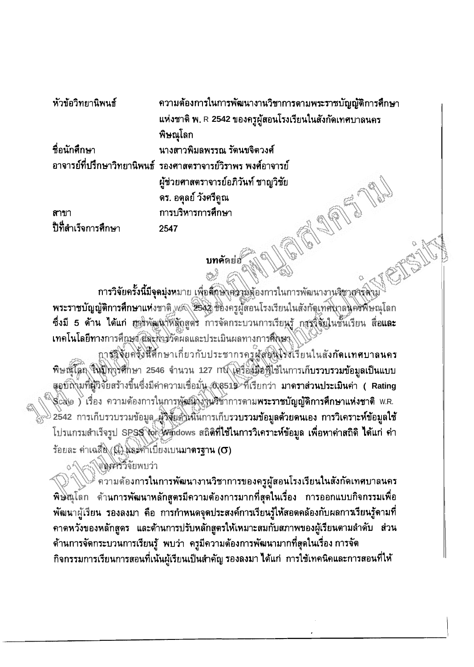| หัวข้อวิทยานิพนธ์   | ความต้องการในการพัฒนางานวิชาการตามพระราชบัญญัติการศึกษา<br>แห่งชาติ พ. R 2542 ของครูผู้สอนโรงเรียนในสังกัดเทศบาลนคร |  |
|---------------------|---------------------------------------------------------------------------------------------------------------------|--|
|                     | พิษณุโลก                                                                                                            |  |
| ชื่อนักศึกษา        | นางสาวพิมลพรรณ รัดนขจิตวงศ์                                                                                         |  |
|                     | อาจารย์ที่ปรึกษาวิทยานิพนธ์  รองศาสตราจารย์วิราพร พงศ์อาจารย์                                                       |  |
|                     | ผู้ช่วยศาสตราจารย์อภิวันท์ ชาญวิชัย                                                                                 |  |
|                     | ดร. อดุลย์ วังศรีคูณ                                                                                                |  |
| สาขา                | การบริหารการศึกษา                                                                                                   |  |
| ปีที่สำเร็จการศึกษา | 2547                                                                                                                |  |

ิ **การวิจัยครั้งนี้มีจุดมุ่งห**มาย เพื่อ**ตึ**กษาคิงวุมต้องการในการพัฒนางานวิชาธาจัดงุม พระราชบัญญัติการศึกษาแห่งชาติ พล 2542 ของครูผู้สอนโรงเรียนในสังกัดเทศบาลนครพิษณุโลก ซึ่งมี 5 ด้าน ได้แก่ สารพัฒนาหลักสูตร การจัดกระบวนการเรียนรู้ การจิจัยในชั้นเรียน สื่อและ เทคโนโลยีทางการศึกษา และที่ารวัดผลและประเมินผลทางการศึกษา

บทคัดย่อ<br>ซูฮิ สา

การอิจัยครั้งนี้ศึกษาเกี่ยวกับประชากรครูผู้สุดนุโรชเรียนในสังกัดแทศบาลนคร พิษณ์โลก ในปีการศึกษา 2546 จำนวน 127 กพ์ เครืองมือที่ใช้ในการเก็บรวบรวมข้อมูลเป็นแบบ สอบถึงมที่ผู้วิจัยสร้างขึ้นซึ่งมีค่าความเชื่อมั่น @8519 ที่เรียกว่า มาดราส่วนประเมินค่า ( Rating ้ รู๊cale ) เรื่อง ความด้องการในการพัฒนางานวิชาการตาม**พระราชบัญญัติการศึกษาแห่งชาติ** w.R. 2542 การเก็บรวบรวมข้อมูล ผู้วิจัยดิงเนินการเก็บรวบรวมข้อมูลด้วยดนเอง การวิเคราะห์ข้อมูลใช้ โปรแกรมสำเร็จรูป SPSS tor Windows สถิติที่ใช้ในการวิเคราะห์ข้อมูล เพื่อหาค่าสถิติ ได้แก่ ค่า ร้อยละ ค่าเฉลี่ย (ปี) และค่าเบี่ยงเบนมาตรฐาน ( $\sigma$ )

้ความด้องการในการพัฒนางานวิชาการของครูผู้สอนโรงเรียนในสังกัดเทศบาลนคร ้พิษัญโลก ด้านการพัฒนาหลักสูตรมีความต้องการมากที่สุดในเรื่อง การออกแบบกิจกรรมเพื่อ พัฒนาผู้เรียน รองลงมา คือ การกำหนดจุดประสงค์การเรียนรู้ให้สอดคล้องกับผลการเรียนรู้ดามที่ คาดหวังของหลักสูดร และด้านการปรับหลักสูตรให้เหมาะสมกับสภาพของผู้เรียนตามลำดับ ส่วน ด้านการจัดกระบวนการเรียนรู้ พบว่า ครูมีความต้องการพัฒนามากที่สุดในเรื่อง การจัด ้กิจกรรมการเรียนการสอนที่เน้นผู้เรียนเป็นสำคัญ รองลงมา ได้แก่ การใช้เทคนิคและการสอนที่ให้

พิลสารวิจัยพบว่า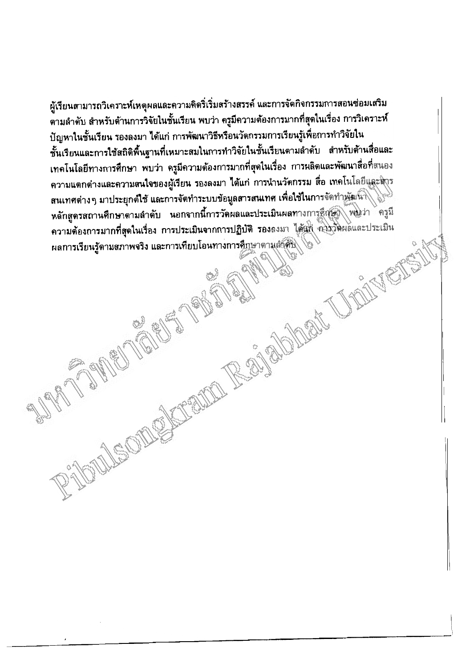ผู้เรียนสามารถวิเคราะห์เหตุผลและความคิดริเริ่มสร้างสรรค์ และการจัดกิจกรรมการสอนซ่อมเสริม ู้ ตามลำดับ สำหรับด้านการวิจัยในชั้นเรียน พบว่า ครูมีความต้องการมากที่สุดในเรื่อง การวิเคราะห์ ปัญหาในชั้นเรียน รองลงมา ได้แก่ การพัฒนาวิธีหรือนวัตกรรมการเรียนรู้เพื่อการทำวิจัยใน ชั้นเรียนและการใช้สถิติพื้นฐานที่เหมาะสมในการทำวิจัยในชั้นเรียนตามลำดับ สำหรับด้านสื่อและ เทคโนโลยีทางการศึกษา พบว่า ครูมีความต้องการมากที่สุดในเรื่อง การผลิตและพัฒนาสื่อที่สนอง ี ความแตกต่างและความสนใจของผู้เรียน รองลงมา ได้แก่ การนำนวัตกรรม สื่อ เทคโนโลยีและสิาร ้สนเทศต่างๆ มาประยุกต์ใช้ และการจัดทำระบบข้อมูลสารสนเทศ เพื่อใช้ในการจัดทำพัฒนา หลักสูตรสถานศึกษาตามลำดับ นอกจากนี้การวัดผลและประเมินผลทางการศึกษณี พปว่า ครูมี FAITE RANDWAY JANKA ความต้องการมากที่สุดในเรื่อง การประเมินจากการปฏิบัติ รองลงมา ได้นั่ง คุณรวิติผลและประเมิน ผลการเรียนรู้ดามสภาพจริง และการเทียบโอนทางการศึกษาตามลักุติบ

FIFT BUT TO THE T

MEQID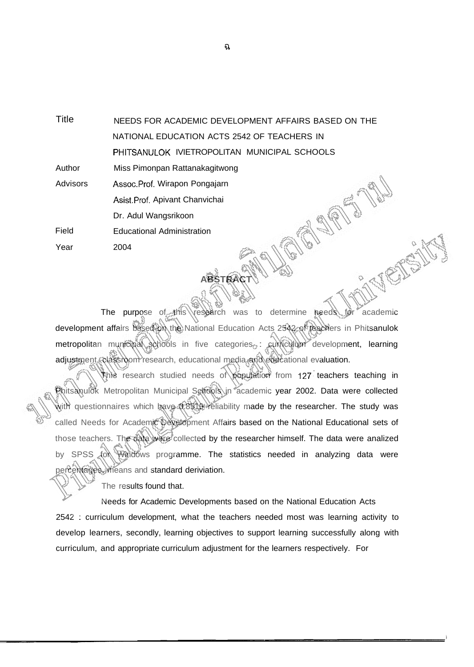Title NEEDS FOR ACADEMIC DEVELOPMENT AFFAIRS BASED ON THE NATIONAL EDUCATION ACTS 2542 OF TEACHERS IN PHITSANULOK IVIETROPOLITAN MUNICIPAL SCHOOLS

Author Miss Pimonpan Rattanakagitwong

Advisors Assoc.Prof. Wirapon Pongajarn

Asist.Prof. Apivant Chanvichai

Dr. Adul Wangsrikoon

Educational Administration Field

2004 Year

The purpose of this research was to determine needs for academic development affairs based on the National Education Acts 2542 of feachers in Phitsanulok metropolitan municipal schools in five categories : curriculum development, learning adjustment, classroom research, educational media and educational evaluation.

**ABSTRACT** 

This research studied needs of population from 127 teachers teaching in Phitsanulok Metropolitan Municipal Schools in academic year 2002. Data were collected with questionnaires which have 0.8519 reliability made by the researcher. The study was called Needs for Academic Development Affairs based on the National Educational sets of those teachers. The data were collected by the researcher himself. The data were analized by SPSS for Windows programme. The statistics needed in analyzing data were percentages, means and standard deriviation.

The results found that.

Needs for Academic Developments based on the National Education Acts 2542 : curriculum development, what the teachers needed most was learning activity to develop learners, secondly, learning objectives to support learning successfully along with curriculum, and appropriate curriculum adjustment for the learners respectively. For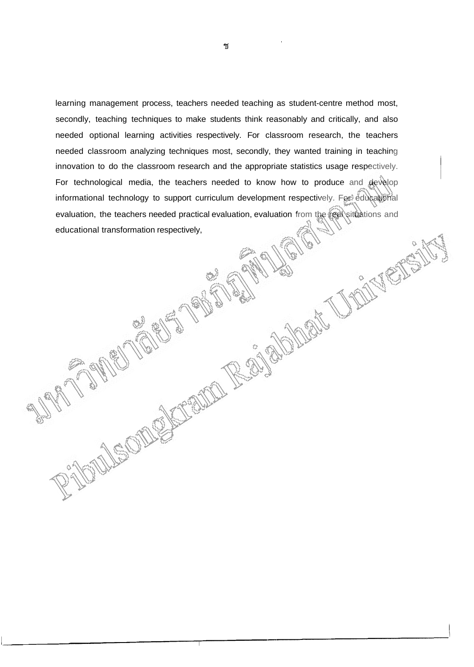learning management process, teachers needed teaching as student-centre method most, secondly, teaching techniques to make students think reasonably and critically, and also needed optional learning activities respectively. For classroom research, the teachers needed classroom analyzing techniques most, secondly, they wanted training in teaching innovation to do the classroom research and the appropriate statistics usage respectively. For technological media, the teachers needed to know how to produce and develop informational technology to support curriculum development respectively. For educational transformation respectively.<br>
educational transformation respectively.<br>  $\begin{pmatrix} 0 & 0 \\ 0 & 0 \end{pmatrix}$   $\begin{pmatrix} 0 & 0 \\ 0 & 0 \end{pmatrix}$   $\begin{pmatrix} 0$ evaluation, the teachers needed practical evaluation, evaluation from the real situations and educational transformation respectively,

**MEDITER**